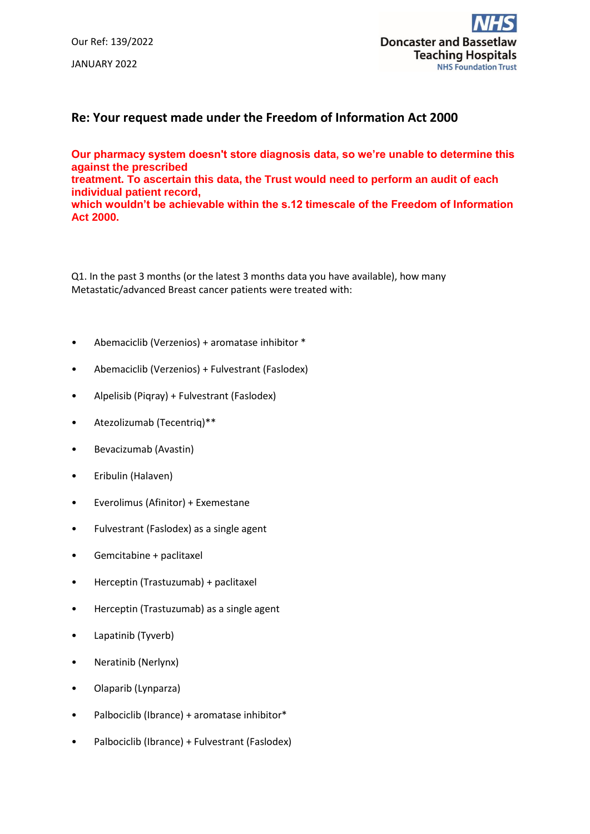Our Ref: 139/2022 JANUARY 2022



## **Re: Your request made under the Freedom of Information Act 2000**

**Our pharmacy system doesn't store diagnosis data, so we're unable to determine this against the prescribed treatment. To ascertain this data, the Trust would need to perform an audit of each** 

**individual patient record, which wouldn't be achievable within the s.12 timescale of the Freedom of Information** 

**Act 2000.**

Q1. In the past 3 months (or the latest 3 months data you have available), how many Metastatic/advanced Breast cancer patients were treated with:

- Abemaciclib (Verzenios) + aromatase inhibitor \*
- Abemaciclib (Verzenios) + Fulvestrant (Faslodex)
- Alpelisib (Piqray) + Fulvestrant (Faslodex)
- Atezolizumab (Tecentriq)\*\*
- Bevacizumab (Avastin)
- Eribulin (Halaven)
- Everolimus (Afinitor) + Exemestane
- Fulvestrant (Faslodex) as a single agent
- Gemcitabine + paclitaxel
- Herceptin (Trastuzumab) + paclitaxel
- Herceptin (Trastuzumab) as a single agent
- Lapatinib (Tyverb)
- Neratinib (Nerlynx)
- Olaparib (Lynparza)
- Palbociclib (Ibrance) + aromatase inhibitor\*
- Palbociclib (Ibrance) + Fulvestrant (Faslodex)